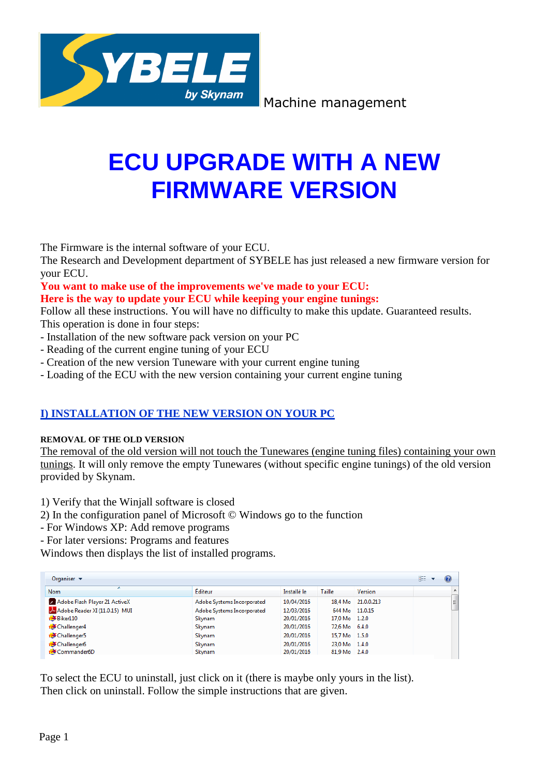

Machine management

# **ECU UPGRADE WITH A NEW FIRMWARE VERSION**

The Firmware is the internal software of your ECU.

The Research and Development department of SYBELE has just released a new firmware version for your ECU.

**You want to make use of the improvements we've made to your ECU: Here is the way to update your ECU while keeping your engine tunings:**

Follow all these instructions. You will have no difficulty to make this update. Guaranteed results. This operation is done in four steps:

- Installation of the new software pack version on your PC
- Reading of the current engine tuning of your ECU
- Creation of the new version Tuneware with your current engine tuning
- Loading of the ECU with the new version containing your current engine tuning

## **I) INSTALLATION OF THE NEW VERSION ON YOUR PC**

## **REMOVAL OF THE OLD VERSION**

The removal of the old version will not touch the Tunewares (engine tuning files) containing your own tunings. It will only remove the empty Tunewares (without specific engine tunings) of the old version provided by Skynam.

1) Verify that the Winjall software is closed

- 2) In the configuration panel of Microsoft © Windows go to the function
- For Windows XP: Add remove programs
- For later versions: Programs and features

Windows then displays the list of installed programs.

| Organiser $\blacktriangledown$ |                            |             |               |                    |                |
|--------------------------------|----------------------------|-------------|---------------|--------------------|----------------|
| <b>Nom</b>                     | Editeur                    | Installé le | <b>Taille</b> | <b>Version</b>     | $\overline{a}$ |
| Adobe Flash Player 21 ActiveX  | Adobe Systems Incorporated | 10/04/2016  |               | 18.4 Mo 21.0.0.213 | 릐              |
| Adobe Reader XI (11.0.15) MUI  | Adobe Systems Incorporated | 12/03/2016  |               | 644 Mo 11.0.15     |                |
| <b>EDE</b> Biker110            | Skynam                     | 20/01/2016  | 17.0 Mo 1.2.0 |                    |                |
| to Challenger4                 | Skynam                     | 20/01/2016  | 72.6 Mo 6.4.0 |                    |                |
| <b>de</b> Challenger5          | Skynam                     | 20/01/2016  | 15,7 Mo 1.5.0 |                    |                |
| Challenger6                    | Skynam                     | 20/01/2016  | 23.0 Mo 1.4.0 |                    |                |
| tuFCommander6D                 | Skynam                     | 20/01/2016  | 81,9 Mo 2.4.0 |                    |                |

To select the ECU to uninstall, just click on it (there is maybe only yours in the list). Then click on uninstall. Follow the simple instructions that are given.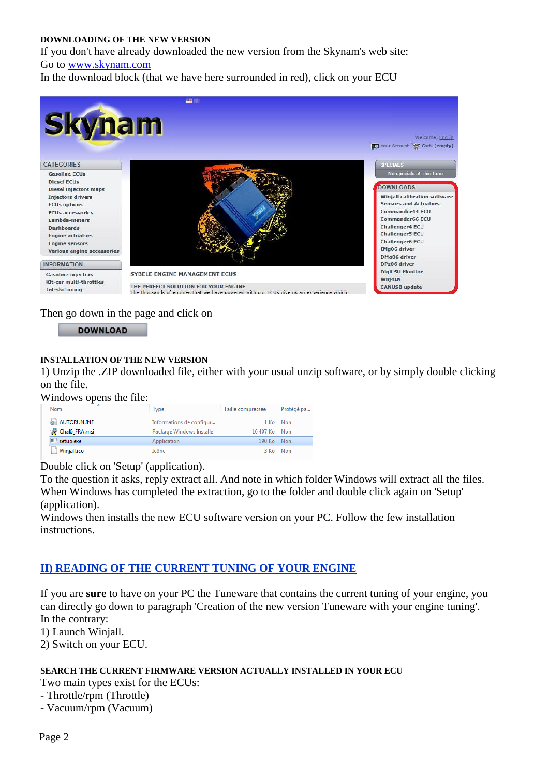#### **DOWNLOADING OF THE NEW VERSION**

If you don't have already downloaded the new version from the Skynam's web site: Go to [www.skynam.com](http://www.skynam.com/)

In the download block (that we have here surrounded in red), click on your ECU



Then go down in the page and click on



## **INSTALLATION OF THE NEW VERSION**

1) Unzip the .ZIP downloaded file, either with your usual unzip software, or by simply double clicking on the file.

Windows opens the file:

| Nom           | <b>Type</b>               | Taille compressée | Protégé pa |
|---------------|---------------------------|-------------------|------------|
| AUTORUN.INF   | Informations de configur  |                   | 1 Ko Non   |
| Chalo FRA.msi | Package Windows Installer | 16 407 Ko Non     |            |
| setup.exe     | Application               | 190 Ko Non        |            |
| Winjall.ico   | Icône                     |                   | 3 Ko Non   |

Double click on 'Setup' (application).

To the question it asks, reply extract all. And note in which folder Windows will extract all the files. When Windows has completed the extraction, go to the folder and double click again on 'Setup' (application).

Windows then installs the new ECU software version on your PC. Follow the few installation instructions.

## **II) READING OF THE CURRENT TUNING OF YOUR ENGINE**

If you are **sure** to have on your PC the Tuneware that contains the current tuning of your engine, you can directly go down to paragraph 'Creation of the new version Tuneware with your engine tuning'. In the contrary:

1) Launch Winjall.

2) Switch on your ECU.

#### **SEARCH THE CURRENT FIRMWARE VERSION ACTUALLY INSTALLED IN YOUR ECU**

Two main types exist for the ECUs:

- Throttle/rpm (Throttle)

- Vacuum/rpm (Vacuum)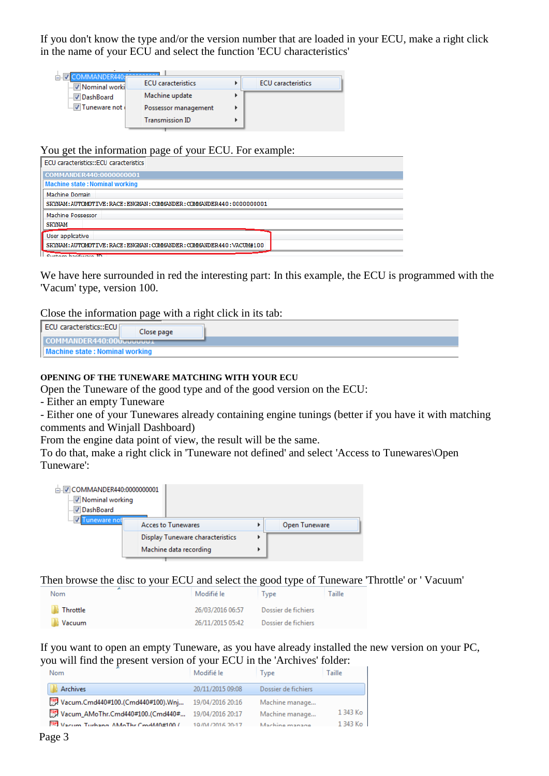If you don't know the type and/or the version number that are loaded in your ECU, make a right click in the name of your ECU and select the function 'ECU characteristics'

| <b>V</b> Nominal worki | <b>ECU</b> caracteristics | <b>ECU</b> caracteristics |
|------------------------|---------------------------|---------------------------|
| <b>DashBoard</b>       | Machine update            |                           |
| V Tuneware not         | Possessor management      |                           |
|                        | <b>Transmission ID</b>    |                           |

#### You get the information page of your ECU. For example:

| ECU caracteristics::ECU caracteristics                                |
|-----------------------------------------------------------------------|
| COMMANDER440:0000000001                                               |
| <b>Machine state: Nominal working</b>                                 |
| Machine Domain                                                        |
| SKYNAM: AUTOMOTIVE: RACE: ENGMAN: COMMANDER: COMMANDER440: 0000000001 |
| Machine Possessor                                                     |
| <b>SKYNAM</b>                                                         |
| User applicative                                                      |
| SKYNAM: AUTOMOTIVE: RACE: ENGMAN: COMMANDER: COMMANDER440: VACUM#100  |
| Custom bardware ID                                                    |

We have here surrounded in red the interesting part: In this example, the ECU is programmed with the 'Vacum' type, version 100.

#### Close the information page with a right click in its tab:

#### **OPENING OF THE TUNEWARE MATCHING WITH YOUR ECU**

Open the Tuneware of the good type and of the good version on the ECU:

- Either an empty Tuneware

- Either one of your Tunewares already containing engine tunings (better if you have it with matching comments and Winjall Dashboard)

From the engine data point of view, the result will be the same.

To do that, make a right click in 'Tuneware not defined' and select 'Access to Tunewares\Open Tuneware':

| □ COMMANDER440:00000000001<br>V Nominal working<br><b>√DashBoard</b> |  |                                  |   |               |  |
|----------------------------------------------------------------------|--|----------------------------------|---|---------------|--|
| uneware not                                                          |  | <b>Acces to Tunewares</b>        |   | Open Tuneware |  |
|                                                                      |  | Display Tuneware characteristics | ь |               |  |
|                                                                      |  | Machine data recording           |   |               |  |

Then browse the disc to your ECU and select the good type of Tuneware 'Throttle' or ' Vacuum'

| Nom             | Modifié le       | Type                | Taille |
|-----------------|------------------|---------------------|--------|
| <b>Throttle</b> | 26/03/2016 06:57 | Dossier de fichiers |        |
| <b>Vacuum</b>   | 26/11/2015 05:42 | Dossier de fichiers |        |

If you want to open an empty Tuneware, as you have already installed the new version on your PC, you will find the present version of your ECU in the 'Archives' folder:

| <b>Nom</b>                                           | Modifié le       | Type                | Taille    |
|------------------------------------------------------|------------------|---------------------|-----------|
| Archives                                             | 20/11/2015 09:08 | Dossier de fichiers |           |
| [] Vacum.Cmd440#100.(Cmd440#100).Wnj                 | 19/04/2016 20:16 | Machine manage      |           |
| [] Vacum_AMoThr.Cmd440#100.(Cmd440# 19/04/2016 20:17 |                  | Machine manage      | 1 343 Ko  |
| W Vacum Turbang AMoThr CmdMA0#100 ( 10/04/2016 20:17 |                  | Machine manage      | $1343$ Ko |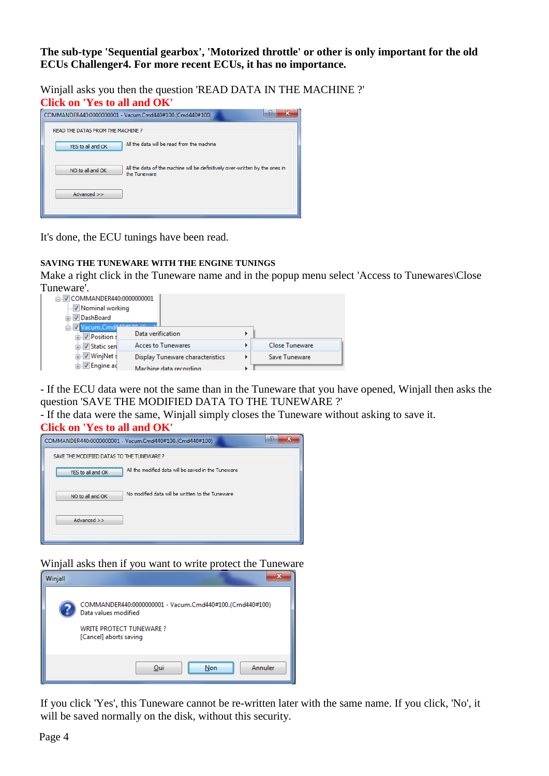**The sub-type 'Sequential gearbox', 'Motorized throttle' or other is only important for the old ECUs Challenger4. For more recent ECUs, it has no importance.**

Winjall asks you then the question 'READ DATA IN THE MACHINE ?' **Click on 'Yes to all and OK'**



It's done, the ECU tunings have been read.

## **SAVING THE TUNEWARE WITH THE ENGINE TUNINGS**

Make a right click in the Tuneware name and in the popup menu select 'Access to Tunewares\Close Tuneware'.

| □ V COMMANDER440:00000000001 |                                  |   |                       |
|------------------------------|----------------------------------|---|-----------------------|
| V Nominal working            |                                  |   |                       |
| DashBoard<br>Ŧ               |                                  |   |                       |
| E. Vacum.Cmd4                |                                  |   |                       |
| <b>E</b> Position s          | Data verification                |   |                       |
| <b>E</b> Static sen          | <b>Acces to Tunewares</b>        | r | <b>Close Tuneware</b> |
| <b>E</b> WinjNet s           | Display Tuneware characteristics |   | Save Tuneware         |
| <b>Engine ad</b>             | Machine data recording           |   |                       |

- If the ECU data were not the same than in the Tuneware that you have opened, Winjall then asks the question 'SAVE THE MODIFIED DATA TO THE TUNEWARE ?'

- If the data were the same, Winjall simply closes the Tuneware without asking to save it.

**Click on 'Yes to all and OK'**



Winjall asks then if you want to write protect the Tuneware



If you click 'Yes', this Tuneware cannot be re-written later with the same name. If you click, 'No', it will be saved normally on the disk, without this security.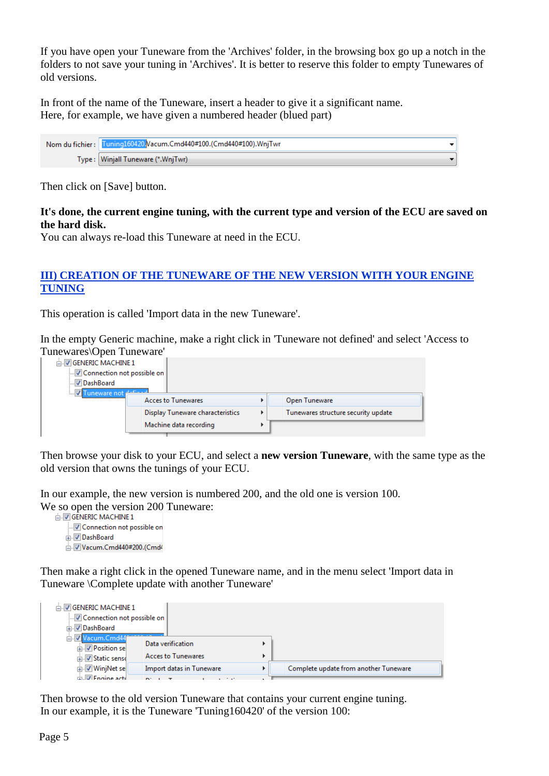If you have open your Tuneware from the 'Archives' folder, in the browsing box go up a notch in the folders to not save your tuning in 'Archives'. It is better to reserve this folder to empty Tunewares of old versions.

In front of the name of the Tuneware, insert a header to give it a significant name. Here, for example, we have given a numbered header (blued part)

Nom du fichier: Tuning160420. Vacum.Cmd440#100. (Cmd440#100). WnjTwr  $\ddot{\phantom{0}}$ Type: Winjall Tuneware (\*.WnjTwr)

Then click on [Save] button.

## **It's done, the current engine tuning, with the current type and version of the ECU are saved on the hard disk.**

You can always re-load this Tuneware at need in the ECU.

## **III) CREATION OF THE TUNEWARE OF THE NEW VERSION WITH YOUR ENGINE TUNING**

This operation is called 'Import data in the new Tuneware'.

In the empty Generic machine, make a right click in 'Tuneware not defined' and select 'Access to Tunewares\Open Tuneware'

| <b>JU GENERIC MACHINE 1</b><br>Connection not possible on<br>DashBoard<br>िल्या Tuneware not <del>नाउँक</del> न्न |                                  |   |                                     |
|-------------------------------------------------------------------------------------------------------------------|----------------------------------|---|-------------------------------------|
|                                                                                                                   | <b>Acces to Tunewares</b>        |   | Open Tuneware                       |
|                                                                                                                   | Display Tuneware characteristics | Þ | Tunewares structure security update |
|                                                                                                                   | Machine data recording           |   |                                     |

Then browse your disk to your ECU, and select a **new version Tuneware**, with the same type as the old version that owns the tunings of your ECU.

In our example, the new version is numbered 200, and the old one is version 100. We so open the version 200 Tuneware:<br> $\frac{1}{10}$  GENERIC MACHINE 1

Connection not possible on

DashBoard

Vacum.Cmd440#200.(Cmd4

Then make a right click in the opened Tuneware name, and in the menu select 'Import data in Tuneware \Complete update with another Tuneware'

| <b>DIVIGENERIC MACHINE 1</b><br>Connection not possible on<br>. V DashBoard    |                                                |   |                                       |
|--------------------------------------------------------------------------------|------------------------------------------------|---|---------------------------------------|
| <b>Ell Vacum.Cmd44</b><br><b>Fig.</b> Position se<br><b>E</b> l V Static sense | Data verification<br><b>Acces to Tunewares</b> |   |                                       |
| <b>E</b> WinjNet se                                                            | Import datas in Tuneware                       | r | Complete update from another Tuneware |
| <b>Engine active</b>                                                           |                                                |   |                                       |

Then browse to the old version Tuneware that contains your current engine tuning. In our example, it is the Tuneware 'Tuning160420' of the version 100: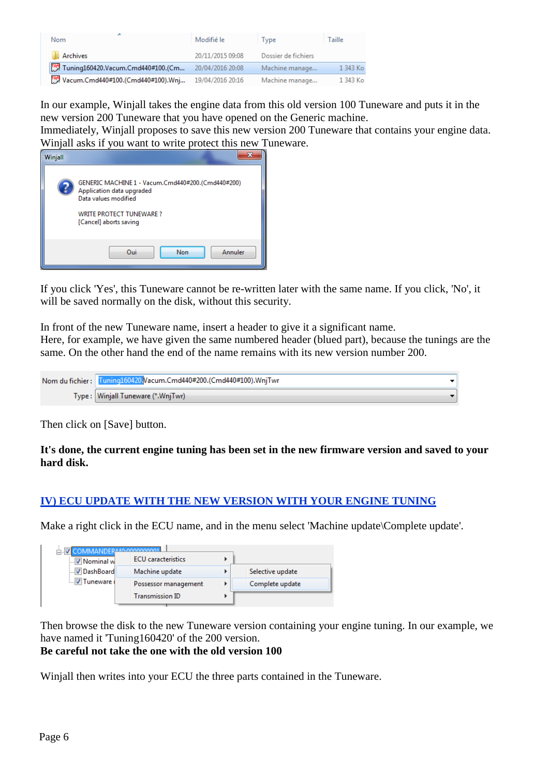| Nom                                  | Modifié le       | Tvpe                | Taille   |
|--------------------------------------|------------------|---------------------|----------|
| <b>Archives</b>                      | 20/11/2015 09:08 | Dossier de fichiers |          |
| [] Tuning160420.Vacum.Cmd440#100.(Cm | 20/04/2016 20:08 | Machine manage      | 1 343 Ko |
| [] Vacum.Cmd440#100.(Cmd440#100).Wnj | 19/04/2016 20:16 | Machine manage      | 1 343 Ko |

In our example, Winjall takes the engine data from this old version 100 Tuneware and puts it in the new version 200 Tuneware that you have opened on the Generic machine.

Immediately, Winjall proposes to save this new version 200 Tuneware that contains your engine data. Winjall asks if you want to write protect this new Tuneware.



If you click 'Yes', this Tuneware cannot be re-written later with the same name. If you click, 'No', it will be saved normally on the disk, without this security.

In front of the new Tuneware name, insert a header to give it a significant name.

Here, for example, we have given the same numbered header (blued part), because the tunings are the same. On the other hand the end of the name remains with its new version number 200.

| Nom du fichier: Tuning160420 Vacum.Cmd440#200.(Cmd440#100).WnjTwr |  |
|-------------------------------------------------------------------|--|
| Type : Winjall Tuneware (*.WnjTwr)                                |  |

Then click on [Save] button.

**It's done, the current engine tuning has been set in the new firmware version and saved to your hard disk.**

## **IV) ECU UPDATE WITH THE NEW VERSION WITH YOUR ENGINE TUNING**

Make a right click in the ECU name, and in the menu select 'Machine update\Complete update'.

| <b>V</b> Nominal w     | <b>ECU</b> caracteristics |                  |
|------------------------|---------------------------|------------------|
| <b>DashBoard</b>       | Machine update            | Selective update |
| <b>Joseph Tuneware</b> | Possessor management      | Complete update  |
|                        | <b>Transmission ID</b>    |                  |

Then browse the disk to the new Tuneware version containing your engine tuning. In our example, we have named it 'Tuning160420' of the 200 version.

## **Be careful not take the one with the old version 100**

Winjall then writes into your ECU the three parts contained in the Tuneware.